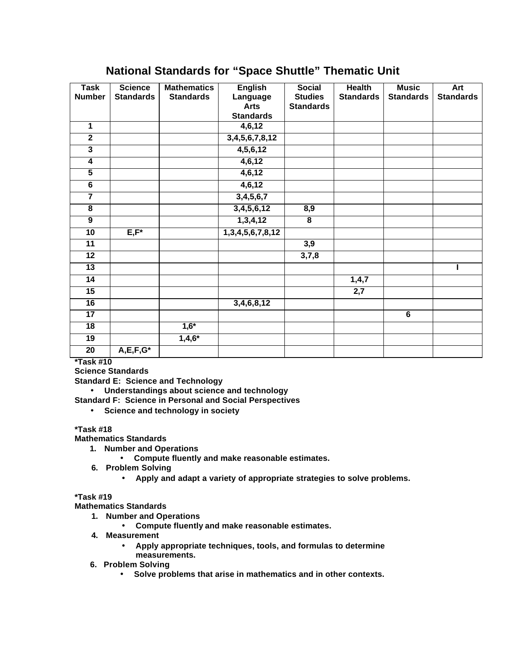## **National Standards for "Space Shuttle" Thematic Unit**

| <b>Task</b>             | <b>Science</b>            | <b>Mathematics</b> | <b>English</b>          | <b>Social</b>           | <b>Health</b>    | <b>Music</b>     | <b>Art</b>       |
|-------------------------|---------------------------|--------------------|-------------------------|-------------------------|------------------|------------------|------------------|
| <b>Number</b>           | <b>Standards</b>          | <b>Standards</b>   | Language                | <b>Studies</b>          | <b>Standards</b> | <b>Standards</b> | <b>Standards</b> |
|                         |                           |                    | <b>Arts</b>             | <b>Standards</b>        |                  |                  |                  |
|                         |                           |                    | <b>Standards</b>        |                         |                  |                  |                  |
| 1                       |                           |                    | 4,6,12                  |                         |                  |                  |                  |
| $\overline{2}$          |                           |                    | 3,4,5,6,7,8,12          |                         |                  |                  |                  |
| $\overline{\mathbf{3}}$ |                           |                    | 4, 5, 6, 12             |                         |                  |                  |                  |
| $\overline{4}$          |                           |                    | 4,6,12                  |                         |                  |                  |                  |
| $\overline{5}$          |                           |                    | 4,6,12                  |                         |                  |                  |                  |
| $\overline{\mathbf{6}}$ |                           |                    | 4,6,12                  |                         |                  |                  |                  |
| $\overline{\mathbf{7}}$ |                           |                    | 3,4,5,6,7               |                         |                  |                  |                  |
| $\overline{\mathbf{8}}$ |                           |                    | 3,4,5,6,12              | 8,9                     |                  |                  |                  |
| $\overline{9}$          |                           |                    | 1,3,4,12                | $\overline{\mathbf{8}}$ |                  |                  |                  |
| 10                      | $E, F^*$                  |                    | 1, 3, 4, 5, 6, 7, 8, 12 |                         |                  |                  |                  |
| $\overline{11}$         |                           |                    |                         | 3,9                     |                  |                  |                  |
| 12                      |                           |                    |                         | 3,7,8                   |                  |                  |                  |
| $\overline{13}$         |                           |                    |                         |                         |                  |                  | ı                |
| 14                      |                           |                    |                         |                         | 1,4,7            |                  |                  |
| 15                      |                           |                    |                         |                         | $\overline{2,7}$ |                  |                  |
| 16                      |                           |                    | 3,4,6,8,12              |                         |                  |                  |                  |
| $\overline{17}$         |                           |                    |                         |                         |                  | $\overline{6}$   |                  |
| 18                      |                           | $1,6*$             |                         |                         |                  |                  |                  |
| 19                      |                           | $1,4,6*$           |                         |                         |                  |                  |                  |
| $\overline{20}$         | $A, \overline{E, F, G^*}$ |                    |                         |                         |                  |                  |                  |

**\*Task #10**

**Science Standards**

**Standard E: Science and Technology**

• **Understandings about science and technology**

**Standard F: Science in Personal and Social Perspectives**

• **Science and technology in society**

## **\*Task #18**

**Mathematics Standards**

- **1. Number and Operations**
	- **Compute fluently and make reasonable estimates.**
- **6. Problem Solving**
	- **Apply and adapt a variety of appropriate strategies to solve problems.**

## **\*Task #19**

**Mathematics Standards**

- **1. Number and Operations**
	- **Compute fluently and make reasonable estimates.**
- **4. Measurement**
	- **Apply appropriate techniques, tools, and formulas to determine measurements.**
- **6. Problem Solving**
	- **Solve problems that arise in mathematics and in other contexts.**